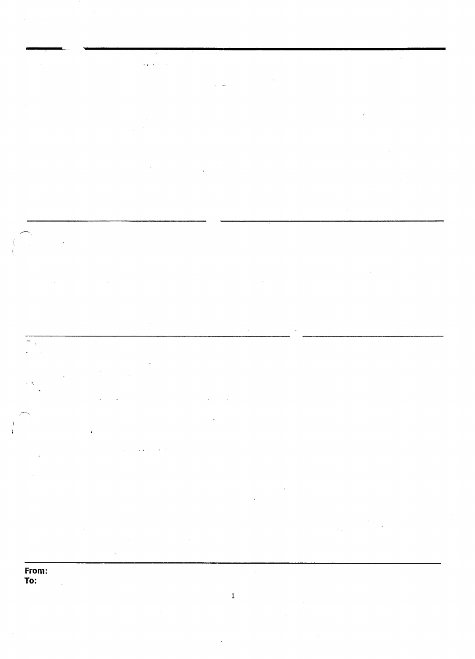$\tilde{\mathcal{L}}_{\mathbf{F}}$  .  $\ddot{\phantom{a}}$ 

From:<br>To:

l,

 $\mathbf 1$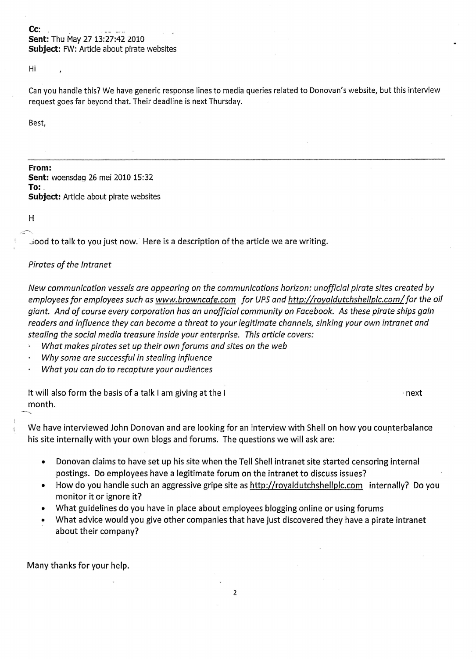## Cc: Sent: Thu May 27 13:27:42 2010 Subject: FW: Article about pirate websites

Hi

Can you handle this? We have generic response lines to media queries related to Donovan's website, but this interview request goes far beyond that. Their deadline is next Thursday.

Best,

From: Sent: woensdag 26 mei 2010 15:32 To: . Subject: Article about pirate websites

H

/-~

...iood to talk to you just now. Here is a description of the article we are writing.

*Pirates of the Intranet*

*New communication vessels are appearing on the communications horizon: unofficial pirate sites created by employees for employees such as [www.browncafe.com](http://www.browncafe.com) for UPSand <http://royaldutchshellplc.comlfor> the oil* giant. And of course every corporation has an unofficial community on Facebook. As these pirate ships gain *readers and influence they can become* a *threat to your legitimate channels, sinking your own intranet and stealing the social media treasure inside your enterprise. This article covers:*

- *What makes pirates set up their own forums and sites on the web*
- *Why some are successful in stealing influence*
- *What you can do to recapture your audiences*

It will also form the basis of a talk I am giving at the I month.

. next

We have interviewed John Donovan and are looking for an interview with Shell on how you counterbalance his site internally with your own blogs and forums. The questions we will ask are:

- Donovan claims to have set up his site when the Tell Shell intranet site started censoring internal postings. Do employees have a legitimate forum on the intranet to discuss issues?
- How do you handle such an aggressive gripe site as http://royaldutchshellplc.com internally? Do you monitor it or ignore it?
- What guidelines do you have in place about employees blogging online or using forums
- What advice would you give other companies that have just discovered they have a pirate intranet about their company?

Many thanks for your help.